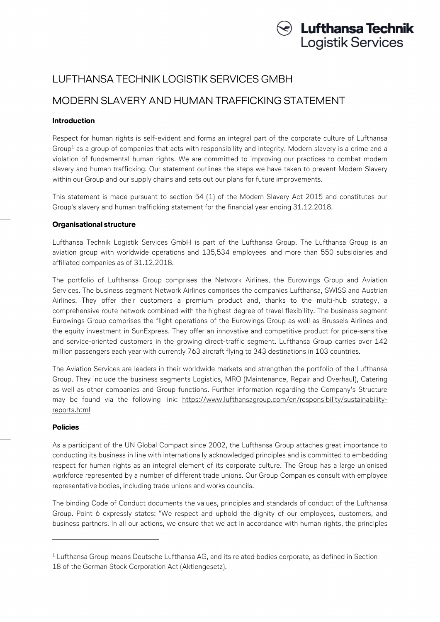

## LUFTHANSA TECHNIK LOGISTIK SERVICES GMBH

# MODERN SLAVERY AND HUMAN TRAFFICKING STATEMENT

## **Introduction**

Respect for human rights is self-evident and forms an integral part of the corporate culture of Lufthansa Group<sup>1</sup> as a group of companies that acts with responsibility and integrity. Modern slavery is a crime and a violation of fundamental human rights. We are committed to improving our practices to combat modern slavery and human trafficking. Our statement outlines the steps we have taken to prevent Modern Slavery within our Group and our supply chains and sets out our plans for future improvements.

This statement is made pursuant to section 54 (1) of the Modern Slavery Act 2015 and constitutes our Group's slavery and human trafficking statement for the financial year ending 31.12.2018.

### **Organisational structure**

Lufthansa Technik Logistik Services GmbH is part of the Lufthansa Group. The Lufthansa Group is an aviation group with worldwide operations and 135,534 employees and more than 550 subsidiaries and affiliated companies as of 31.12.2018.

The portfolio of Lufthansa Group comprises the Network Airlines, the Eurowings Group and Aviation Services. The business segment Network Airlines comprises the companies Lufthansa, SWISS and Austrian Airlines. They offer their customers a premium product and, thanks to the multi-hub strategy, a comprehensive route network combined with the highest degree of travel flexibility. The business segment Eurowings Group comprises the flight operations of the Eurowings Group as well as Brussels Airlines and the equity investment in SunExpress. They offer an innovative and competitive product for price-sensitive and service-oriented customers in the growing direct-traffic segment. Lufthansa Group carries over 142 million passengers each year with currently 763 aircraft flying to 343 destinations in 103 countries.

The Aviation Services are leaders in their worldwide markets and strengthen the portfolio of the Lufthansa Group. They include the business segments Logistics, MRO (Maintenance, Repair and Overhaul), Catering as well as other companies and Group functions. Further information regarding the Company's Structure may be found via the following link: https://www.lufthansagroup.com/en/responsibility/sustainabilityreports.html

### **Policies**

-

As a participant of the UN Global Compact since 2002, the Lufthansa Group attaches great importance to conducting its business in line with internationally acknowledged principles and is committed to embedding respect for human rights as an integral element of its corporate culture. The Group has a large unionised workforce represented by a number of different trade unions. Our Group Companies consult with employee representative bodies, including trade unions and works councils.

The binding Code of Conduct documents the values, principles and standards of conduct of the Lufthansa Group. Point 6 expressly states: "We respect and uphold the dignity of our employees, customers, and business partners. In all our actions, we ensure that we act in accordance with human rights, the principles

 $1$  Lufthansa Group means Deutsche Lufthansa AG, and its related bodies corporate, as defined in Section 18 of the German Stock Corporation Act (Aktiengesetz).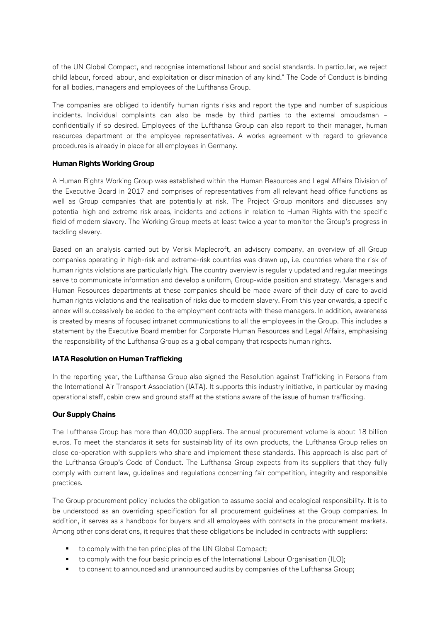of the UN Global Compact, and recognise international labour and social standards. In particular, we reject child labour, forced labour, and exploitation or discrimination of any kind." The Code of Conduct is binding for all bodies, managers and employees of the Lufthansa Group.

The companies are obliged to identify human rights risks and report the type and number of suspicious incidents. Individual complaints can also be made by third parties to the external ombudsman – confidentially if so desired. Employees of the Lufthansa Group can also report to their manager, human resources department or the employee representatives. A works agreement with regard to grievance procedures is already in place for all employees in Germany.

### **Human Rights Working Group**

A Human Rights Working Group was established within the Human Resources and Legal Affairs Division of the Executive Board in 2017 and comprises of representatives from all relevant head office functions as well as Group companies that are potentially at risk. The Project Group monitors and discusses any potential high and extreme risk areas, incidents and actions in relation to Human Rights with the specific field of modern slavery. The Working Group meets at least twice a year to monitor the Group's progress in tackling slavery.

Based on an analysis carried out by Verisk Maplecroft, an advisory company, an overview of all Group companies operating in high-risk and extreme-risk countries was drawn up, i.e. countries where the risk of human rights violations are particularly high. The country overview is regularly updated and regular meetings serve to communicate information and develop a uniform, Group-wide position and strategy. Managers and Human Resources departments at these companies should be made aware of their duty of care to avoid human rights violations and the realisation of risks due to modern slavery. From this year onwards, a specific annex will successively be added to the employment contracts with these managers. In addition, awareness is created by means of focused intranet communications to all the employees in the Group. This includes a statement by the Executive Board member for Corporate Human Resources and Legal Affairs, emphasising the responsibility of the Lufthansa Group as a global company that respects human rights.

### **IATA Resolution on Human Trafficking**

In the reporting year, the Lufthansa Group also signed the Resolution against Trafficking in Persons from the International Air Transport Association (IATA). It supports this industry initiative, in particular by making operational staff, cabin crew and ground staff at the stations aware of the issue of human trafficking.

### **Our Supply Chains**

The Lufthansa Group has more than 40,000 suppliers. The annual procurement volume is about 18 billion euros. To meet the standards it sets for sustainability of its own products, the Lufthansa Group relies on close co-operation with suppliers who share and implement these standards. This approach is also part of the Lufthansa Group's Code of Conduct. The Lufthansa Group expects from its suppliers that they fully comply with current law, guidelines and regulations concerning fair competition, integrity and responsible practices.

The Group procurement policy includes the obligation to assume social and ecological responsibility. It is to be understood as an overriding specification for all procurement guidelines at the Group companies. In addition, it serves as a handbook for buyers and all employees with contacts in the procurement markets. Among other considerations, it requires that these obligations be included in contracts with suppliers:

- to comply with the ten principles of the UN Global Compact;
- to comply with the four basic principles of the International Labour Organisation (ILO);
- to consent to announced and unannounced audits by companies of the Lufthansa Group;